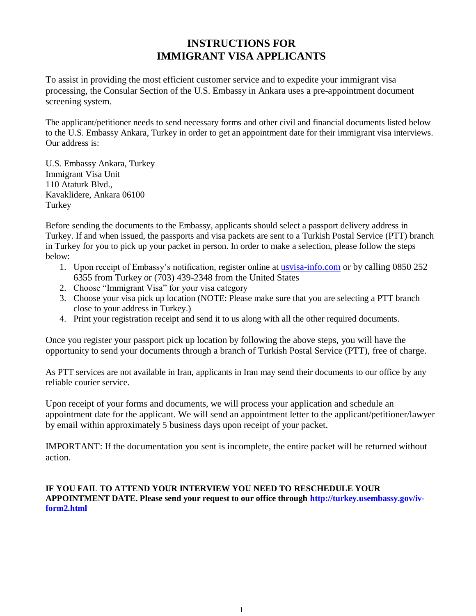# **INSTRUCTIONS FOR IMMIGRANT VISA APPLICANTS**

To assist in providing the most efficient customer service and to expedite your immigrant visa processing, the Consular Section of the U.S. Embassy in Ankara uses a pre-appointment document screening system.

The applicant/petitioner needs to send necessary forms and other civil and financial documents listed below to the U.S. Embassy Ankara, Turkey in order to get an appointment date for their immigrant visa interviews. Our address is:

U.S. Embassy Ankara, Turkey Immigrant Visa Unit 110 Ataturk Blvd., Kavaklidere, Ankara 06100 Turkey

Before sending the documents to the Embassy, applicants should select a passport delivery address in Turkey. If and when issued, the passports and visa packets are sent to a Turkish Postal Service (PTT) branch in Turkey for you to pick up your packet in person. In order to make a selection, please follow the steps below:

- 1. Upon receipt of Embassy's notification, register online at [usvisa-info.com](https://usvisa-info.com/) or by calling 0850 252 6355 from Turkey or (703) 439-2348 from the United States
- 2. Choose "Immigrant Visa" for your visa category
- 3. Choose your visa pick up location (NOTE: Please make sure that you are selecting a PTT branch close to your address in Turkey.)
- 4. Print your registration receipt and send it to us along with all the other required documents.

Once you register your passport pick up location by following the above steps, you will have the opportunity to send your documents through a branch of Turkish Postal Service (PTT), free of charge.

As PTT services are not available in Iran, applicants in Iran may send their documents to our office by any reliable courier service.

Upon receipt of your forms and documents, we will process your application and schedule an appointment date for the applicant. We will send an appointment letter to the applicant/petitioner/lawyer by email within approximately 5 business days upon receipt of your packet.

IMPORTANT: If the documentation you sent is incomplete, the entire packet will be returned without action.

**IF YOU FAIL TO ATTEND YOUR INTERVIEW YOU NEED TO RESCHEDULE YOUR APPOINTMENT DATE. Please send your request to our office through [http://turkey.usembassy.gov/iv](http://turkey.usembassy.gov/iv-form2.html)[form2.html](http://turkey.usembassy.gov/iv-form2.html)**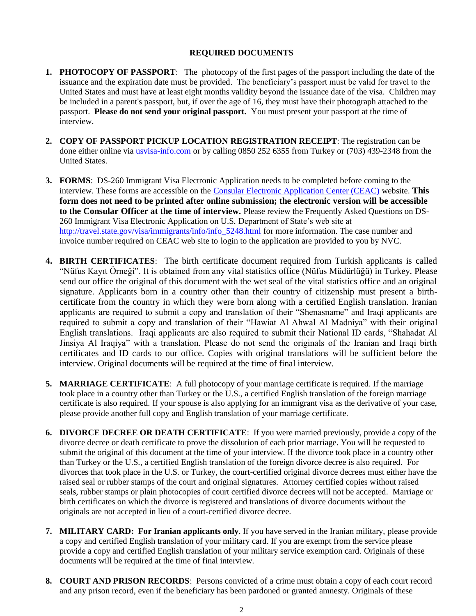#### **REQUIRED DOCUMENTS**

- **1. PHOTOCOPY OF PASSPORT**: The photocopy of the first pages of the passport including the date of the issuance and the expiration date must be provided. The beneficiary's passport must be valid for travel to the United States and must have at least eight months validity beyond the issuance date of the visa. Children may be included in a parent's passport, but, if over the age of 16, they must have their photograph attached to the passport. **Please do not send your original passport.** You must present your passport at the time of interview.
- **2. COPY OF PASSPORT PICKUP LOCATION REGISTRATION RECEIPT**: The registration can be done either online via [usvisa-info.com](https://usvisa-info.com/) or by calling 0850 252 6355 from Turkey or (703) 439-2348 from the United States.
- **3. FORMS**: DS-260 Immigrant Visa Electronic Application needs to be completed before coming to the interview. These forms are accessible on the [Consular Electronic Application Center \(CEAC\)](http://ceac.state.gov/iv/) website. **This form does not need to be printed after online submission; the electronic version will be accessible to the Consular Officer at the time of interview.** Please review the Frequently Asked Questions on DS-260 Immigrant Visa Electronic Application on U.S. Department of State's web site at [http://travel.state.gov/visa/immigrants/info/info\\_5248.html](http://travel.state.gov/visa/immigrants/info/info_5248.html) for more information. The case number and invoice number required on CEAC web site to login to the application are provided to you by NVC.
- **4. BIRTH CERTIFICATES**: The birth certificate document required from Turkish applicants is called "Nüfus Kayıt Örneği". It is obtained from any vital statistics office (Nüfus Müdürlüğü) in Turkey. Please send our office the original of this document with the wet seal of the vital statistics office and an original signature. Applicants born in a country other than their country of citizenship must present a birthcertificate from the country in which they were born along with a certified English translation. Iranian applicants are required to submit a copy and translation of their "Shenasname" and Iraqi applicants are required to submit a copy and translation of their "Hawiat Al Ahwal Al Madniya" with their original English translations. Iraqi applicants are also required to submit their National ID cards, "Shahadat Al Jinsiya Al Iraqiya" with a translation. Please do not send the originals of the Iranian and Iraqi birth certificates and ID cards to our office. Copies with original translations will be sufficient before the interview. Original documents will be required at the time of final interview.
- **5. MARRIAGE CERTIFICATE**: A full photocopy of your marriage certificate is required. If the marriage took place in a country other than Turkey or the U.S., a certified English translation of the foreign marriage certificate is also required. If your spouse is also applying for an immigrant visa as the derivative of your case, please provide another full copy and English translation of your marriage certificate.
- **6. DIVORCE DECREE OR DEATH CERTIFICATE**: If you were married previously, provide a copy of the divorce decree or death certificate to prove the dissolution of each prior marriage. You will be requested to submit the original of this document at the time of your interview. If the divorce took place in a country other than Turkey or the U.S., a certified English translation of the foreign divorce decree is also required. For divorces that took place in the U.S. or Turkey, the court-certified original divorce decrees must either have the raised seal or rubber stamps of the court and original signatures. Attorney certified copies without raised seals, rubber stamps or plain photocopies of court certified divorce decrees will not be accepted. Marriage or birth certificates on which the divorce is registered and translations of divorce documents without the originals are not accepted in lieu of a court-certified divorce decree.
- **7. MILITARY CARD: For Iranian applicants only**. If you have served in the Iranian military, please provide a copy and certified English translation of your military card. If you are exempt from the service please provide a copy and certified English translation of your military service exemption card. Originals of these documents will be required at the time of final interview.
- **8. COURT AND PRISON RECORDS**: Persons convicted of a crime must obtain a copy of each court record and any prison record, even if the beneficiary has been pardoned or granted amnesty. Originals of these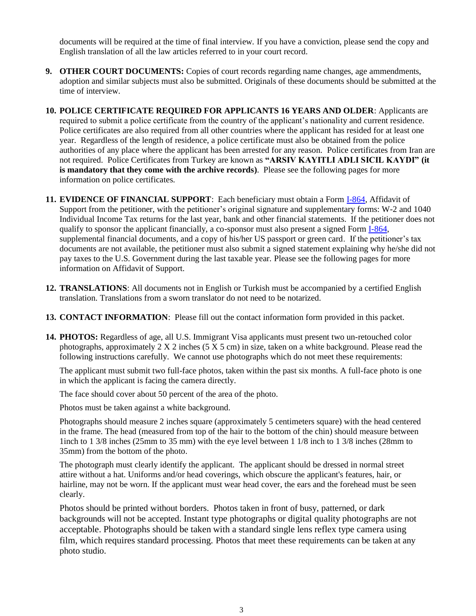documents will be required at the time of final interview. If you have a conviction, please send the copy and English translation of all the law articles referred to in your court record.

- **9. OTHER COURT DOCUMENTS:** Copies of court records regarding name changes, age ammendments, adoption and similar subjects must also be submitted. Originals of these documents should be submitted at the time of interview.
- **10. POLICE CERTIFICATE REQUIRED FOR APPLICANTS 16 YEARS AND OLDER**: Applicants are required to submit a police certificate from the country of the applicant's nationality and current residence. Police certificates are also required from all other countries where the applicant has resided for at least one year. Regardless of the length of residence, a police certificate must also be obtained from the police authorities of any place where the applicant has been arrested for any reason. Police certificates from Iran are not required. Police Certificates from Turkey are known as **"ARSIV KAYITLI ADLI SICIL KAYDI" (it is mandatory that they come with the archive records)**. Please see the following pages for more information on police certificates.
- **11. EVIDENCE OF FINANCIAL SUPPORT**: Each beneficiary must obtain a Form [I-864,](http://www.uscis.gov/files/form/i-864.pdf) Affidavit of Support from the petitioner, with the petitioner's original signature and supplementary forms: W-2 and 1040 Individual Income Tax returns for the last year, bank and other financial statements. If the petitioner does not qualify to sponsor the applicant financially, a co-sponsor must also present a signed Form [I-864,](http://www.uscis.gov/files/form/i-864.pdf) supplemental financial documents, and a copy of his/her US passport or green card. If the petitioner's tax documents are not available, the petitioner must also submit a signed statement explaining why he/she did not pay taxes to the U.S. Government during the last taxable year. Please see the following pages for more information on Affidavit of Support.
- **12. TRANSLATIONS**: All documents not in English or Turkish must be accompanied by a certified English translation. Translations from a sworn translator do not need to be notarized.
- **13. CONTACT INFORMATION**: Please fill out the contact information form provided in this packet.
- **14. PHOTOS:** Regardless of age, all U.S. Immigrant Visa applicants must present two un-retouched color photographs, approximately  $2 \times 2$  inches (5  $\times$  5 cm) in size, taken on a white background. Please read the following instructions carefully. We cannot use photographs which do not meet these requirements:

The applicant must submit two full-face photos, taken within the past six months. A full-face photo is one in which the applicant is facing the camera directly.

The face should cover about 50 percent of the area of the photo.

Photos must be taken against a white background.

Photographs should measure 2 inches square (approximately 5 centimeters square) with the head centered in the frame. The head (measured from top of the hair to the bottom of the chin) should measure between 1inch to 1 3/8 inches (25mm to 35 mm) with the eye level between 1 1/8 inch to 1 3/8 inches (28mm to 35mm) from the bottom of the photo.

The photograph must clearly identify the applicant. The applicant should be dressed in normal street attire without a hat. Uniforms and/or head coverings, which obscure the applicant's features, hair, or hairline, may not be worn. If the applicant must wear head cover, the ears and the forehead must be seen clearly.

Photos should be printed without borders. Photos taken in front of busy, patterned, or dark backgrounds will not be accepted. Instant type photographs or digital quality photographs are not acceptable. Photographs should be taken with a standard single lens reflex type camera using film, which requires standard processing. Photos that meet these requirements can be taken at any photo studio.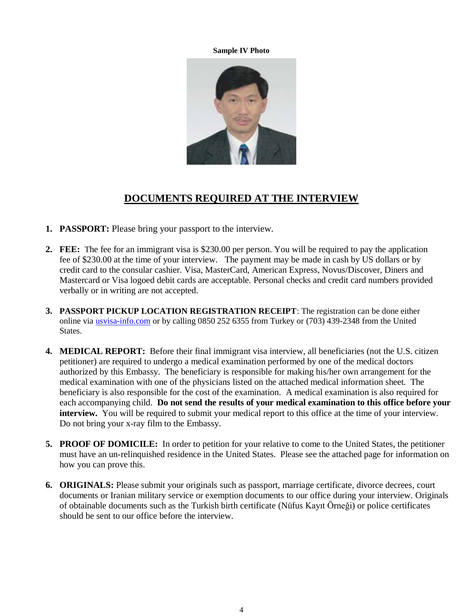**Sample IV Photo**



## **DOCUMENTS REQUIRED AT THE INTERVIEW**

- **1. PASSPORT:** Please bring your passport to the interview.
- **2. FEE:** The fee for an immigrant visa is \$230.00 per person. You will be required to pay the application fee of \$230.00 at the time of your interview. The payment may be made in cash by US dollars or by credit card to the consular cashier. Visa, MasterCard, American Express, Novus/Discover, Diners and Mastercard or Visa logoed debit cards are acceptable. Personal checks and credit card numbers provided verbally or in writing are not accepted.
- **3. PASSPORT PICKUP LOCATION REGISTRATION RECEIPT**: The registration can be done either online via [usvisa-info.com](https://usvisa-info.com/) or by calling 0850 252 6355 from Turkey or (703) 439-2348 from the United States.
- **4. MEDICAL REPORT:** Before their final immigrant visa interview, all beneficiaries (not the U.S. citizen petitioner) are required to undergo a medical examination performed by one of the medical doctors authorized by this Embassy. The beneficiary is responsible for making his/her own arrangement for the medical examination with one of the physicians listed on the attached medical information sheet. The beneficiary is also responsible for the cost of the examination. A medical examination is also required for each accompanying child. **Do not send the results of your medical examination to this office before your interview.** You will be required to submit your medical report to this office at the time of your interview. Do not bring your x-ray film to the Embassy.
- **5. PROOF OF DOMICILE:** In order to petition for your relative to come to the United States, the petitioner must have an un-relinquished residence in the United States. Please see the attached page for information on how you can prove this.
- **6. ORIGINALS:** Please submit your originals such as passport, marriage certificate, divorce decrees, court documents or Iranian military service or exemption documents to our office during your interview. Originals of obtainable documents such as the Turkish birth certificate (Nüfus Kayıt Örneği) or police certificates should be sent to our office before the interview.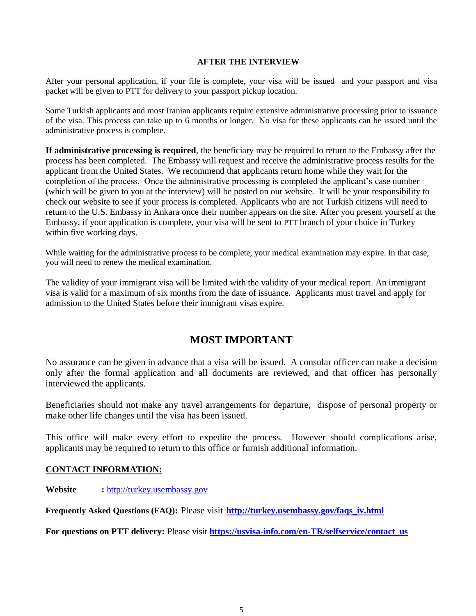#### **AFTER THE INTERVIEW**

After your personal application, if your file is complete, your visa will be issued and your passport and visa packet will be given to PTT for delivery to your passport pickup location.

Some Turkish applicants and most Iranian applicants require extensive administrative processing prior to issuance of the visa. This process can take up to 6 months or longer. No visa for these applicants can be issued until the administrative process is complete.

**If administrative processing is required**, the beneficiary may be required to return to the Embassy after the process has been completed. The Embassy will request and receive the administrative process results for the applicant from the United States. We recommend that applicants return home while they wait for the completion of the process. Once the administrative processing is completed the applicant's case number (which will be given to you at the interview) will be posted on our website. It will be your responsibility to check our website to see if your process is completed. Applicants who are not Turkish citizens will need to return to the U.S. Embassy in Ankara once their number appears on the site. After you present yourself at the Embassy, if your application is complete, your visa will be sent to PTT branch of your choice in Turkey within five working days.

While waiting for the administrative process to be complete, your medical examination may expire. In that case, you will need to renew the medical examination.

The validity of your immigrant visa will be limited with the validity of your medical report. An immigrant visa is valid for a maximum of six months from the date of issuance. Applicants must travel and apply for admission to the United States before their immigrant visas expire.

## **MOST IMPORTANT**

No assurance can be given in advance that a visa will be issued. A consular officer can make a decision only after the formal application and all documents are reviewed, and that officer has personally interviewed the applicants.

Beneficiaries should not make any travel arrangements for departure, dispose of personal property or make other life changes until the visa has been issued.

This office will make every effort to expedite the process. However should complications arise, applicants may be required to return to this office or furnish additional information.

#### **CONTACT INFORMATION:**

**Website :** [http://turkey.usembassy.gov](http://turkey.usembassy.gov/)

**Frequently Asked Questions (FAQ):** Please visit **[http://turkey.usembassy.gov/faqs\\_iv.html](http://turkey.usembassy.gov/faqs_iv.html)**

**For questions on PTT delivery:** Please visit **[https://usvisa-info.com/en-TR/selfservice/contact\\_us](https://usvisa-info.com/en-TR/selfservice/contact_us)**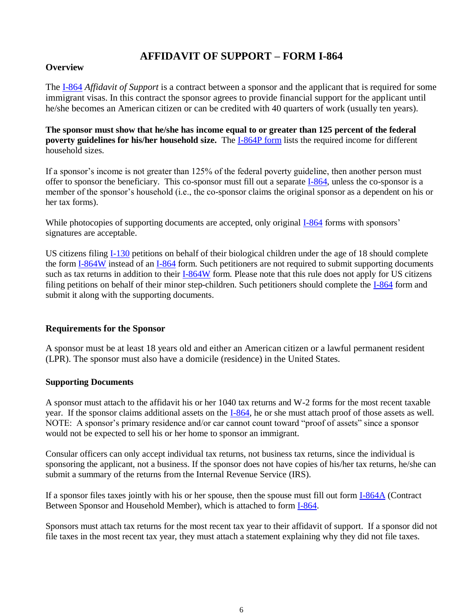# **AFFIDAVIT OF SUPPORT – FORM I-864**

#### **Overview**

The [I-864](http://www.uscis.gov/files/form/i-864.pdf) *Affidavit of Support* is a contract between a sponsor and the applicant that is required for some immigrant visas. In this contract the sponsor agrees to provide financial support for the applicant until he/she becomes an American citizen or can be credited with 40 quarters of work (usually ten years).

**The sponsor must show that he/she has income equal to or greater than 125 percent of the federal poverty guidelines for his/her household size.** The **I-864P** form lists the required income for different household sizes.

If a sponsor's income is not greater than 125% of the federal poverty guideline, then another person must offer to sponsor the beneficiary. This co-sponsor must fill out a separat[e I-864,](http://www.uscis.gov/files/form/i-864.pdf) unless the co-sponsor is a member of the sponsor's household (i.e., the co-sponsor claims the original sponsor as a dependent on his or her tax forms).

While photocopies of supporting documents are accepted, only original [I-864](http://www.uscis.gov/files/form/i-864.pdf) forms with sponsors' signatures are acceptable.

US citizens filing [I-130](http://www.uscis.gov/files/form/i-130.pdf) petitions on behalf of their biological children under the age of 18 should complete the for[m I-864W](http://www.uscis.gov/files/form/i-864w.pdf) instead of an [I-864](http://www.uscis.gov/files/form/i-864.pdf) form. Such petitioners are not required to submit supporting documents such as tax returns in addition to their [I-864W](http://www.uscis.gov/files/form/i-864w.pdf) form. Please note that this rule does not apply for US citizens filing petitions on behalf of their minor step-children. Such petitioners should complete the [I-864](http://www.uscis.gov/files/form/i-864.pdf) form and submit it along with the supporting documents.

#### **Requirements for the Sponsor**

A sponsor must be at least 18 years old and either an American citizen or a lawful permanent resident (LPR). The sponsor must also have a domicile (residence) in the United States.

#### **Supporting Documents**

A sponsor must attach to the affidavit his or her 1040 tax returns and W-2 forms for the most recent taxable year. If the sponsor claims additional assets on the [I-864,](http://www.uscis.gov/files/form/i-864.pdf) he or she must attach proof of those assets as well. NOTE: A sponsor's primary residence and/or car cannot count toward "proof of assets" since a sponsor would not be expected to sell his or her home to sponsor an immigrant.

Consular officers can only accept individual tax returns, not business tax returns, since the individual is sponsoring the applicant, not a business. If the sponsor does not have copies of his/her tax returns, he/she can submit a summary of the returns from the Internal Revenue Service (IRS).

If a sponsor files taxes jointly with his or her spouse, then the spouse must fill out form [I-864A](http://www.uscis.gov/files/form/i-864a.pdf) (Contract Between Sponsor and Household Member), which is attached to form [I-864.](http://www.uscis.gov/files/form/i-864.pdf)

Sponsors must attach tax returns for the most recent tax year to their affidavit of support. If a sponsor did not file taxes in the most recent tax year, they must attach a statement explaining why they did not file taxes.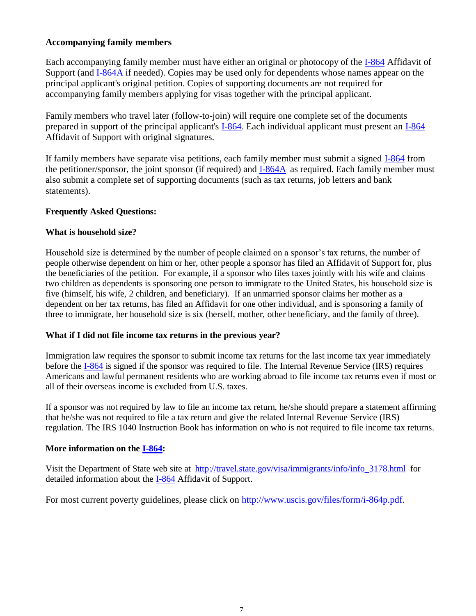#### **Accompanying family members**

Each accompanying family member must have either an original or photocopy of the [I-864](http://www.uscis.gov/files/form/i-864.pdf) Affidavit of Support (and [I-864A](http://www.uscis.gov/files/form/i-864a.pdf) if needed). Copies may be used only for dependents whose names appear on the principal applicant's original petition. Copies of supporting documents are not required for accompanying family members applying for visas together with the principal applicant.

Family members who travel later (follow-to-join) will require one complete set of the documents prepared in support of the principal applicant's [I-864.](http://www.uscis.gov/files/form/i-864.pdf) Each individual applicant must present an [I-864](http://www.uscis.gov/files/form/i-864.pdf) Affidavit of Support with original signatures.

If family members have separate visa petitions, each family member must submit a signed [I-864](http://www.uscis.gov/files/form/i-864.pdf) from the petitioner/sponsor, the joint sponsor (if required) and [I-864A](http://www.uscis.gov/files/form/i-864a.pdf) as required. Each family member must also submit a complete set of supporting documents (such as tax returns, job letters and bank statements).

### **Frequently Asked Questions:**

### **What is household size?**

Household size is determined by the number of people claimed on a sponsor's tax returns, the number of people otherwise dependent on him or her, other people a sponsor has filed an Affidavit of Support for, plus the beneficiaries of the petition. For example, if a sponsor who files taxes jointly with his wife and claims two children as dependents is sponsoring one person to immigrate to the United States, his household size is five (himself, his wife, 2 children, and beneficiary). If an unmarried sponsor claims her mother as a dependent on her tax returns, has filed an Affidavit for one other individual, and is sponsoring a family of three to immigrate, her household size is six (herself, mother, other beneficiary, and the family of three).

#### **What if I did not file income tax returns in the previous year?**

Immigration law requires the sponsor to submit income tax returns for the last income tax year immediately before the [I-864](http://www.uscis.gov/files/form/i-864.pdf) is signed if the sponsor was required to file. The Internal Revenue Service (IRS) requires Americans and lawful permanent residents who are working abroad to file income tax returns even if most or all of their overseas income is excluded from U.S. taxes.

If a sponsor was not required by law to file an income tax return, he/she should prepare a statement affirming that he/she was not required to file a tax return and give the related Internal Revenue Service (IRS) regulation. The IRS 1040 Instruction Book has information on who is not required to file income tax returns.

### **More information on the [I-864:](http://www.uscis.gov/files/form/i-864.pdf)**

Visit the Department of State web site at [http://travel.state.gov/visa/immigrants/info/info\\_3178.html](http://travel.state.gov/i864gen.html) for detailed information about the [I-864](http://www.uscis.gov/files/form/i-864.pdf) Affidavit of Support.

For most current poverty guidelines, please click on [http://www.uscis.gov/files/form/i-864p.pdf.](http://www.uscis.gov/files/form/i-864p.pdf)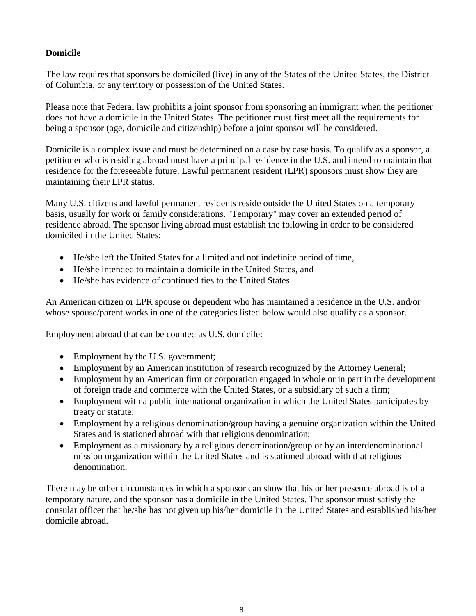## **Domicile**

The law requires that sponsors be domiciled (live) in any of the States of the United States, the District of Columbia, or any territory or possession of the United States.

Please note that Federal law prohibits a joint sponsor from sponsoring an immigrant when the petitioner does not have a domicile in the United States. The petitioner must first meet all the requirements for being a sponsor (age, domicile and citizenship) before a joint sponsor will be considered.

Domicile is a complex issue and must be determined on a case by case basis. To qualify as a sponsor, a petitioner who is residing abroad must have a principal residence in the U.S. and intend to maintain that residence for the foreseeable future. Lawful permanent resident (LPR) sponsors must show they are maintaining their LPR status.

Many U.S. citizens and lawful permanent residents reside outside the United States on a temporary basis, usually for work or family considerations. "Temporary" may cover an extended period of residence abroad. The sponsor living abroad must establish the following in order to be considered domiciled in the United States:

- He/she left the United States for a limited and not indefinite period of time,
- He/she intended to maintain a domicile in the United States, and
- He/she has evidence of continued ties to the United States.

An American citizen or LPR spouse or dependent who has maintained a residence in the U.S. and/or whose spouse/parent works in one of the categories listed below would also qualify as a sponsor.

Employment abroad that can be counted as U.S. domicile:

- Employment by the U.S. government;
- Employment by an American institution of research recognized by the Attorney General;
- Employment by an American firm or corporation engaged in whole or in part in the development of foreign trade and commerce with the United States, or a subsidiary of such a firm;
- Employment with a public international organization in which the United States participates by treaty or statute;
- Employment by a religious denomination/group having a genuine organization within the United States and is stationed abroad with that religious denomination;
- Employment as a missionary by a religious denomination/group or by an interdenominational mission organization within the United States and is stationed abroad with that religious denomination.

There may be other circumstances in which a sponsor can show that his or her presence abroad is of a temporary nature, and the sponsor has a domicile in the United States. The sponsor must satisfy the consular officer that he/she has not given up his/her domicile in the United States and established his/her domicile abroad.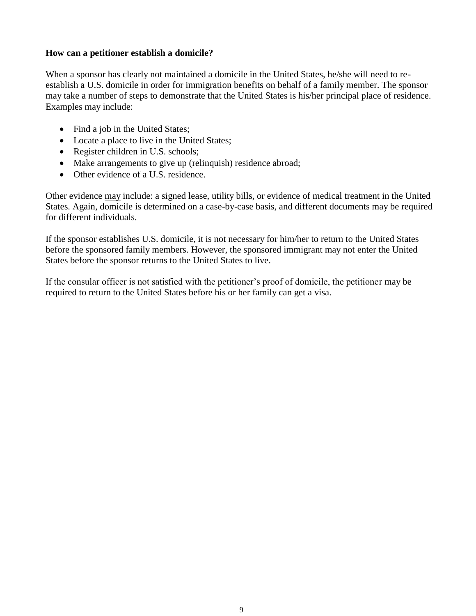### **How can a petitioner establish a domicile?**

When a sponsor has clearly not maintained a domicile in the United States, he/she will need to reestablish a U.S. domicile in order for immigration benefits on behalf of a family member. The sponsor may take a number of steps to demonstrate that the United States is his/her principal place of residence. Examples may include:

- Find a job in the United States;
- Locate a place to live in the United States;
- Register children in U.S. schools;
- Make arrangements to give up (relinquish) residence abroad;
- Other evidence of a U.S. residence.

Other evidence may include: a signed lease, utility bills, or evidence of medical treatment in the United States. Again, domicile is determined on a case-by-case basis, and different documents may be required for different individuals.

If the sponsor establishes U.S. domicile, it is not necessary for him/her to return to the United States before the sponsored family members. However, the sponsored immigrant may not enter the United States before the sponsor returns to the United States to live.

If the consular officer is not satisfied with the petitioner's proof of domicile, the petitioner may be required to return to the United States before his or her family can get a visa.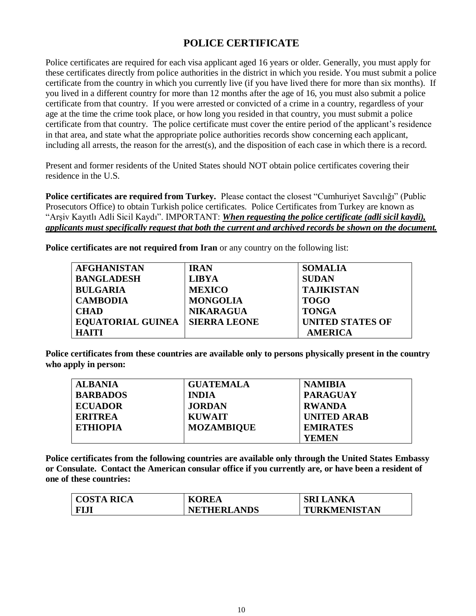## **POLICE CERTIFICATE**

Police certificates are required for each visa applicant aged 16 years or older. Generally, you must apply for these certificates directly from police authorities in the district in which you reside. You must submit a police certificate from the country in which you currently live (if you have lived there for more than six months). If you lived in a different country for more than 12 months after the age of 16, you must also submit a police certificate from that country. If you were arrested or convicted of a crime in a country, regardless of your age at the time the crime took place, or how long you resided in that country, you must submit a police certificate from that country. The police certificate must cover the entire period of the applicant's residence in that area, and state what the appropriate police authorities records show concerning each applicant, including all arrests, the reason for the arrest(s), and the disposition of each case in which there is a record.

Present and former residents of the United States should NOT obtain police certificates covering their residence in the U.S.

**Police certificates are required from Turkey.** Please contact the closest "Cumhuriyet Savcılığı" (Public Prosecutors Office) to obtain Turkish police certificates. Police Certificates from Turkey are known as "Arşiv Kayıtlı Adli Sicil Kaydı". IMPORTANT: *When requesting the police certificate (adli sicil kaydi), applicants must specifically request that both the current and archived records be shown on the document.*

**Police certificates are not required from Iran** or any country on the following list:

| <b>AFGHANISTAN</b>       | <b>IRAN</b>         | <b>SOMALIA</b>          |
|--------------------------|---------------------|-------------------------|
| <b>BANGLADESH</b>        | <b>LIBYA</b>        | <b>SUDAN</b>            |
| <b>BULGARIA</b>          | <b>MEXICO</b>       | <b>TAJIKISTAN</b>       |
| <b>CAMBODIA</b>          | <b>MONGOLIA</b>     | <b>TOGO</b>             |
| <b>CHAD</b>              | <b>NIKARAGUA</b>    | <b>TONGA</b>            |
| <b>EQUATORIAL GUINEA</b> | <b>SIERRA LEONE</b> | <b>UNITED STATES OF</b> |
| <b>HAITI</b>             |                     | <b>AMERICA</b>          |

**Police certificates from these countries are available only to persons physically present in the country who apply in person:**

| <b>ALBANIA</b>  | <b>GUATEMALA</b>  | <b>NAMIBIA</b>     |
|-----------------|-------------------|--------------------|
| <b>BARBADOS</b> | <b>INDIA</b>      | <b>PARAGUAY</b>    |
| <b>ECUADOR</b>  | <b>JORDAN</b>     | <b>RWANDA</b>      |
| <b>ERITREA</b>  | <b>KUWAIT</b>     | <b>UNITED ARAB</b> |
| <b>ETHIOPIA</b> | <b>MOZAMBIQUE</b> | <b>EMIRATES</b>    |
|                 |                   | <b>YEMEN</b>       |

**Police certificates from the following countries are available only through the United States Embassy or Consulate. Contact the American consular office if you currently are, or have been a resident of one of these countries:**

| <b>COSTA RICA</b> | <b>KOREA</b>       | <b>SRI LANKA</b> |
|-------------------|--------------------|------------------|
| <b>FIJJ</b>       | <b>NETHERLANDS</b> | TURKMENISTAN     |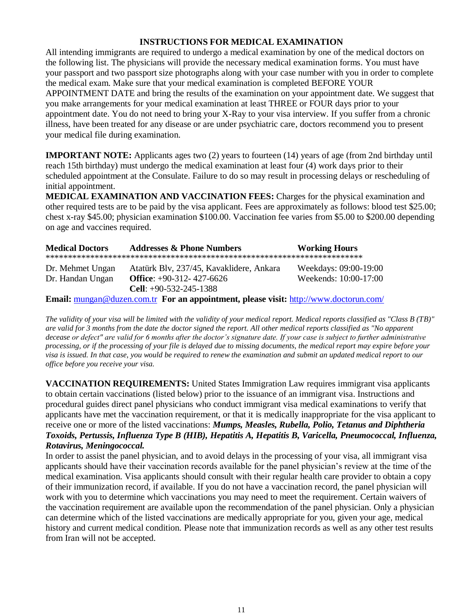#### **INSTRUCTIONS FOR MEDICAL EXAMINATION**

All intending immigrants are required to undergo a medical examination by one of the medical doctors on the following list. The physicians will provide the necessary medical examination forms. You must have your passport and two passport size photographs along with your case number with you in order to complete the medical exam. Make sure that your medical examination is completed BEFORE YOUR APPOINTMENT DATE and bring the results of the examination on your appointment date. We suggest that you make arrangements for your medical examination at least THREE or FOUR days prior to your appointment date. You do not need to bring your X-Ray to your visa interview. If you suffer from a chronic illness, have been treated for any disease or are under psychiatric care, doctors recommend you to present your medical file during examination.

**IMPORTANT NOTE:** Applicants ages two (2) years to fourteen (14) years of age (from 2nd birthday until reach 15th birthday) must undergo the medical examination at least four (4) work days prior to their scheduled appointment at the Consulate. Failure to do so may result in processing delays or rescheduling of initial appointment.

**MEDICAL EXAMINATION AND VACCINATION FEES:** Charges for the physical examination and other required tests are to be paid by the visa applicant. Fees are approximately as follows: blood test \$25.00; chest x-ray \$45.00; physician examination \$100.00. Vaccination fee varies from \$5.00 to \$200.00 depending on age and vaccines required.

| <b>Medical Doctors</b> | <b>Addresses &amp; Phone Numbers</b>     | <b>Working Hours</b>  |
|------------------------|------------------------------------------|-----------------------|
|                        |                                          |                       |
| Dr. Mehmet Ungan       | Atatürk Blv, 237/45, Kavaklidere, Ankara | Weekdays: 09:00-19:00 |
| Dr. Handan Ungan       | Office: $+90-312-427-6626$               | Weekends: 10:00-17:00 |
|                        | Cell: $+90-532-245-1388$                 |                       |
|                        |                                          |                       |

**Email:** [mungan@duzen.com.tr](mailto:mungan@duzen.com.tr) **For an appointment, please visit:** <http://www.doctorun.com/>

*The validity of your visa will be limited with the validity of your medical report. Medical reports classified as "Class B (TB)" are valid for 3 months from the date the doctor signed the report. All other medical reports classified as "No apparent decease or defect" are valid for 6 months after the doctor's signature date. If your case is subject to further administrative processing, or if the processing of your file is delayed due to missing documents, the medical report may expire before your visa is issued. In that case, you would be required to renew the examination and submit an updated medical report to our office before you receive your visa.* 

**VACCINATION REQUIREMENTS:** United States Immigration Law requires immigrant visa applicants to obtain certain vaccinations (listed below) prior to the issuance of an immigrant visa. Instructions and procedural guides direct panel physicians who conduct immigrant visa medical examinations to verify that applicants have met the vaccination requirement, or that it is medically inappropriate for the visa applicant to receive one or more of the listed vaccinations: *Mumps, Measles, Rubella, Polio, Tetanus and Diphtheria Toxoids, Pertussis, Influenza Type B (HIB), Hepatitis A, Hepatitis B, Varicella, Pneumococcal, Influenza, Rotavirus, Meningococcal.* 

In order to assist the panel physician, and to avoid delays in the processing of your visa, all immigrant visa applicants should have their vaccination records available for the panel physician's review at the time of the medical examination. Visa applicants should consult with their regular health care provider to obtain a copy of their immunization record, if available. If you do not have a vaccination record, the panel physician will work with you to determine which vaccinations you may need to meet the requirement. Certain waivers of the vaccination requirement are available upon the recommendation of the panel physician. Only a physician can determine which of the listed vaccinations are medically appropriate for you, given your age, medical history and current medical condition. Please note that immunization records as well as any other test results from Iran will not be accepted.